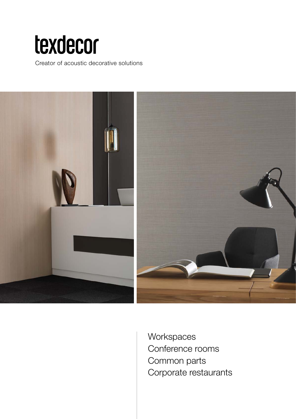# texdecor

Creator of acoustic decorative solutions



**Workspaces** Conference rooms Common parts Corporate restaurants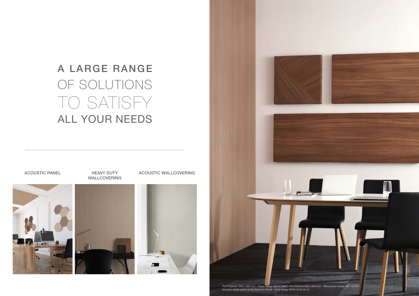

## A LARGE RANGE OF SOLUTIONS TO SATISFY ALL YOUR NEEDS

## WALLCOVERING

#### ACOUSTIC PANEL HEAVY DUTY ACOUSTIC WALLCOVERING





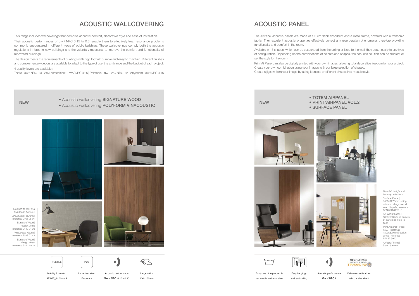*From left to right and from top to bottom :*  Vinacoustic Polyform | reference 9103 05 01 Signature Wood | design Orme reference 9142 01 36 Vinacoustic Abaca | reference 9039 02 43 Signature Wood | design Noyer reference 9144 10 32







*From left to right and from top to bottom :*  Surface Panel | 1500x1270mm, using rails and slings, model Wood type M, reference SPNW 9148 76 18

AirPanel 2 Faces | 1800x600mm, in clusters of partitions fixed to floor

Print'Airpanel 1 Face Vol.2 | Rectangle 1800x600mm | design Orme | reference IM2 52 3970 AirPanel Totem |

Solo 1500 mm

- NEW NEW Acoustic wallcovering SIGNATURE WOOD
	- Acoustic wallcovering POLYFORM VINACOUSTIC



• TOTEM AIRPANEL • PRINT'AIRPANEL VOL.2 • SURFACE PANEL

### ACOUSTIC WALLCOVERING



Nobility & comfort

ATSME\_84 Class A Impact resistant Easy care

Acoustic performance Ɑw / NRC 0.15 - 0.30

 $\blacklozenge$ 

Large width 106 -130 cm

This range includes wallcoverings that combine acoustic comfort, decorative style and ease of installation.

Their acoustic performances of αw / NRC 0.15 to 0.3, enable them to effectively treat resonance problems commonly encountered in different types of public buildings. These wallcoverings comply both the acoustic regulations in force in new buildings and the voluntary measures to improve the comfort and functionality of renovated buildings.

The design meets the requirements of buildings with high footfall: durable and easy to maintain. Different finishes and complementary decors are available to adapt to the type of use, the ambiance and the budget of each project.

4 quality levels are available :

Textile - αw / NRC 0.3 | Vinyl-coated flock - αw / NRC 0.25 | Paintable - αw 0.25 / NRC 0.2 | Vinyl foam - αw /NRC 0.15

Easy care : the product is removable and washable

Easy hanging : wall and ceiling Acoustic performance Ɑw / NRC 1

 $\blacklozenge$ 

**OEKO-TEX® STANDARD 100** 

Oeko-tex certification : fabric + absorbent

ACOUSTIC PANEL

The AirPanel acoustic panels are made of a 5 cm thick absorbent and a metal frame, covered with a transonic fabric. Their excellent acoustic properties effectively correct any reverberation phenomena, therefore providing functionality and comfort in the room.

Available in 15 shapes, which can be suspended from the ceiling or fixed to the wall, they adapt easily to any type of configuration. Depending on the combinations of colours and shapes, the acoustic solution can be discreet or set the style for the room.

Print'AirPanel can also be digitally printed with your own images, allowing total decorative freedom for your project. Create your own combination using your images with our large selection of shapes. Create a jigsaw from your image by using identical or different shapes in a mosaic style.







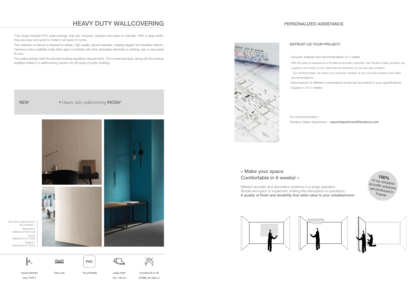*From left to right and from top to bottom :*  Marmorino | reference 9138 10 09 Inosa | reference 9141 04 09 Organza | reference 9131 02 04

### HEAVY DUTY WALLCOVERING







Easy care  $*$  No phthalate Large width







Impact resistant Vinyl TYPE II







100 -130 cm





Euroclass B s2 d0 ATSME\_84 Class A

This range includes PVC wallcoverings, that are compact, resistant and easy to maintain. With a large width, they are easy and quick to install in all types of rooms.

The collection of decors is inspired by classic, high-quality natural materials, creating elegant and timeless interiors. Generous colour palettes make them easy coordinate with other decorative elements or existing, new or renovated fit outs.

The wallcoverings meet the strictest building regulatory requirements. The consensual style, along with its practical qualities makes it a wallcovering solution for all types of public building.

NEW • Heavy duty wallcovering INOSA\*

#### « Make your space Comfortable in 6 weeks! »

Efficient acoustic and decorative solutions in a single operation. Simple and quick to implement, limiting the interruption of operations. A quality of finish and durability that adds value to your establishment.



#### PERSONALIZED ASSISTANCE

#### ENTRUST US YOUR PROJECT:

- | Acoustic analysis and recommendation in 2 weeks
- With 35 years of experience in the field of acoustic correction, the Texdecor team provides you support in the study of your need and the resolution of your acoustic problem:
- Our technical team can carry out a summary analysis of your acoustic problem and make
- | Submissions of different combinations produced according to your specifications

 $100\%$  of our solutions acoustic solutions are produced in France

 recommendations | Supply in 3 to 4 weeks



 For more information : Texdecor Sales department - exportdepartment@texdecor.com